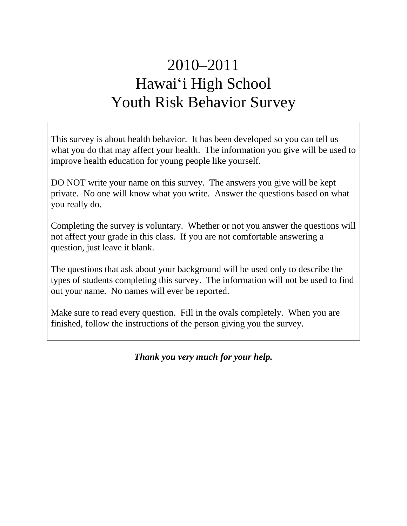# 2010–2011 Hawai'i High School Youth Risk Behavior Survey

This survey is about health behavior. It has been developed so you can tell us what you do that may affect your health. The information you give will be used to improve health education for young people like yourself.

DO NOT write your name on this survey. The answers you give will be kept private. No one will know what you write. Answer the questions based on what you really do.

Completing the survey is voluntary. Whether or not you answer the questions will not affect your grade in this class. If you are not comfortable answering a question, just leave it blank.

The questions that ask about your background will be used only to describe the types of students completing this survey. The information will not be used to find out your name. No names will ever be reported.

Make sure to read every question. Fill in the ovals completely. When you are finished, follow the instructions of the person giving you the survey.

*Thank you very much for your help.*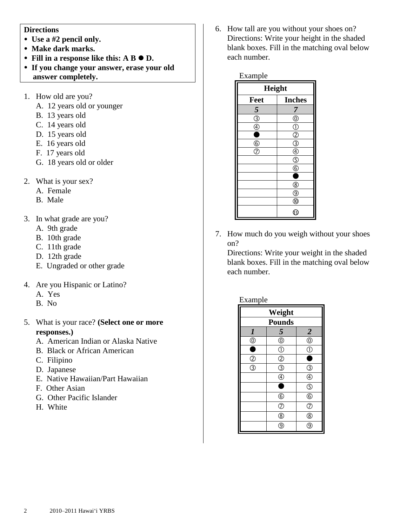#### **Directions**

- Use a #2 pencil only.
- **Make dark marks.**
- Fill in a response like this: A B  $\bullet$  D.
- **If you change your answer, erase your old answer completely.**
- 1. How old are you?
	- A. 12 years old or younger
	- B. 13 years old
	- C. 14 years old
	- D. 15 years old
	- E. 16 years old
	- F. 17 years old
	- G. 18 years old or older
- 2. What is your sex?
	- A. Female
	- B. Male
- 3. In what grade are you?
	- A. 9th grade
	- B. 10th grade
	- C. 11th grade
	- D. 12th grade
	- E. Ungraded or other grade
- 4. Are you Hispanic or Latino?
	- A. Yes
	- B. No
- 5. What is your race? **(Select one or more responses.)**
	- A. American Indian or Alaska Native
	- B. Black or African American
	- C. Filipino
	- D. Japanese
	- E. Native Hawaiian/Part Hawaiian
	- F. Other Asian
	- G. Other Pacific Islander
	- H. White

6. How tall are you without your shoes on? Directions: Write your height in the shaded blank boxes. Fill in the matching oval below each number.

| Example                      |               |  |
|------------------------------|---------------|--|
| Height                       |               |  |
| Feet                         | <b>Inches</b> |  |
| 5                            | 7             |  |
| $\overline{\textcircled{3}}$ | $^\copyright$ |  |
| ⊕                            | $_{\oplus}$   |  |
| ۰                            | $\mathcal{D}$ |  |
| $\frac{6}{2}$                | ℭ             |  |
|                              |               |  |
|                              | $\circledS$   |  |
|                              | ᠖             |  |
|                              |               |  |
|                              | ®             |  |
|                              | ⊚             |  |
|                              | $^\circledR$  |  |
|                              | (11           |  |

7. How much do you weigh without your shoes on?

Directions: Write your weight in the shaded blank boxes. Fill in the matching oval below each number.

| xampi |
|-------|
|       |

| Weight                     |                         |                         |  |
|----------------------------|-------------------------|-------------------------|--|
| <b>Pounds</b>              |                         |                         |  |
| $\overline{\mathbf{I}}$    | $\overline{\mathbf{5}}$ |                         |  |
| $\bigoplus_{i=1}^{\infty}$ | $^{\circledR}$          | $\frac{2}{0}$           |  |
| Ō                          | $\odot$                 | Œ                       |  |
| $\overline{O}$             | $\overline{c}$          |                         |  |
| $\overline{\circledS}$     | <sup>3</sup>            | G)                      |  |
|                            | $\bar{\textcircled{4}}$ | $\circledA$             |  |
|                            |                         | $\overline{\mathbb{S}}$ |  |
|                            | $_{\copyright}$         | $\overline{6}$          |  |
|                            | T                       | $\circledcirc$          |  |
|                            | ®                       | $^{\circledR}$          |  |
|                            | g                       | g                       |  |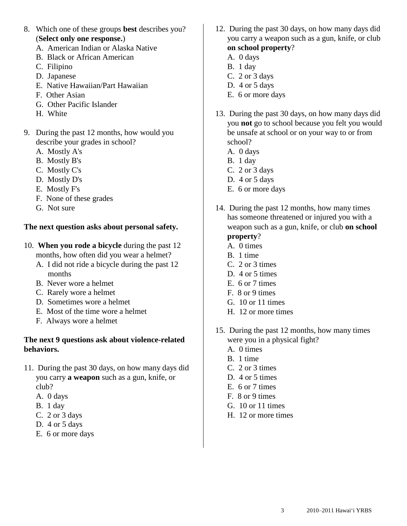- 8. Which one of these groups **best** describes you? (**Select only one response.**)
	- A. American Indian or Alaska Native
	- B. Black or African American
	- C. Filipino
	- D. Japanese
	- E. Native Hawaiian/Part Hawaiian
	- F. Other Asian
	- G. Other Pacific Islander
	- H. White
- 9. During the past 12 months, how would you describe your grades in school?
	- A. Mostly A's
	- B. Mostly B's
	- C. Mostly C's
	- D. Mostly D's
	- E. Mostly F's
	- F. None of these grades
	- G. Not sure

### **The next question asks about personal safety.**

- 10. **When you rode a bicycle** during the past 12 months, how often did you wear a helmet?
	- A. I did not ride a bicycle during the past 12 months
	- B. Never wore a helmet
	- C. Rarely wore a helmet
	- D. Sometimes wore a helmet
	- E. Most of the time wore a helmet
	- F. Always wore a helmet

#### **The next 9 questions ask about violence-related behaviors.**

- 11. During the past 30 days, on how many days did you carry **a weapon** such as a gun, knife, or club?
	- A. 0 days
	- B. 1 day
	- C. 2 or 3 days
	- D. 4 or 5 days
	- E. 6 or more days
- 12. During the past 30 days, on how many days did you carry a weapon such as a gun, knife, or club **on school property**?
	- A. 0 days
	- B. 1 day
	- C. 2 or 3 days
	- D. 4 or 5 days
	- E. 6 or more days
- 13. During the past 30 days, on how many days did you **not** go to school because you felt you would be unsafe at school or on your way to or from school?
	- A. 0 days
	- B. 1 day
	- C. 2 or 3 days
	- D. 4 or 5 days
	- E. 6 or more days
- 14. During the past 12 months, how many times has someone threatened or injured you with a weapon such as a gun, knife, or club **on school property**?
	- A. 0 times
	- B. 1 time
	- C. 2 or 3 times
	- D. 4 or 5 times
	- E. 6 or 7 times
	- F. 8 or 9 times
	- G. 10 or 11 times
	- H. 12 or more times
- 15. During the past 12 months, how many times were you in a physical fight?
	- A. 0 times
	- B. 1 time
	- C. 2 or 3 times
	- D. 4 or 5 times
	- E. 6 or 7 times
	- F. 8 or 9 times
	- G. 10 or 11 times
	- H. 12 or more times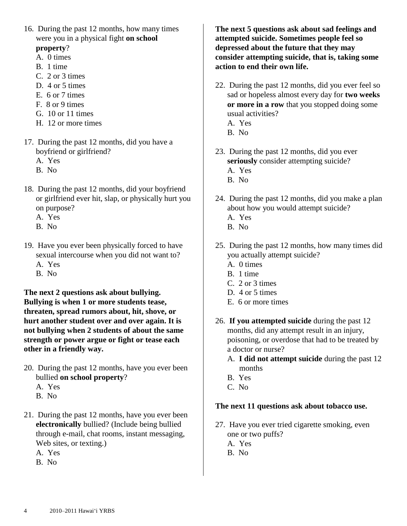- 16. During the past 12 months, how many times were you in a physical fight **on school property**?
	- A. 0 times
	- B. 1 time
	- C. 2 or 3 times
	- D. 4 or 5 times
	- E. 6 or 7 times
	- F. 8 or 9 times
	- G. 10 or 11 times
	- H. 12 or more times
- 17. During the past 12 months, did you have a boyfriend or girlfriend?
	- A. Yes
	- B. No
- 18. During the past 12 months, did your boyfriend or girlfriend ever hit, slap, or physically hurt you on purpose?
	- A. Yes
	- B. No
- 19. Have you ever been physically forced to have sexual intercourse when you did not want to?
	- A. Yes
	- B. No

**The next 2 questions ask about bullying. Bullying is when 1 or more students tease, threaten, spread rumors about, hit, shove, or hurt another student over and over again. It is not bullying when 2 students of about the same strength or power argue or fight or tease each other in a friendly way.**

- 20. During the past 12 months, have you ever been bullied **on school property**?
	- A. Yes
	- B. No
- 21. During the past 12 months, have you ever been **electronically** bullied? (Include being bullied through e-mail, chat rooms, instant messaging, Web sites, or texting.)
	- A. Yes
	- B. No

**The next 5 questions ask about sad feelings and attempted suicide. Sometimes people feel so depressed about the future that they may consider attempting suicide, that is, taking some action to end their own life.**

- 22. During the past 12 months, did you ever feel so sad or hopeless almost every day for **two weeks or more in a row** that you stopped doing some usual activities?
	- A. Yes
	- B. No
- 23. During the past 12 months, did you ever **seriously** consider attempting suicide? A. Yes B. No
- 24. During the past 12 months, did you make a plan about how you would attempt suicide? A. Yes
	- B. No
- 25. During the past 12 months, how many times did you actually attempt suicide?
	- A. 0 times
	- B. 1 time
	- C. 2 or 3 times
	- D. 4 or 5 times
	- E. 6 or more times
- 26. **If you attempted suicide** during the past 12 months, did any attempt result in an injury, poisoning, or overdose that had to be treated by a doctor or nurse?
	- A. **I did not attempt suicide** during the past 12 months
	- B. Yes
	- C. No

# **The next 11 questions ask about tobacco use.**

- 27. Have you ever tried cigarette smoking, even one or two puffs?
	- A. Yes
	- B. No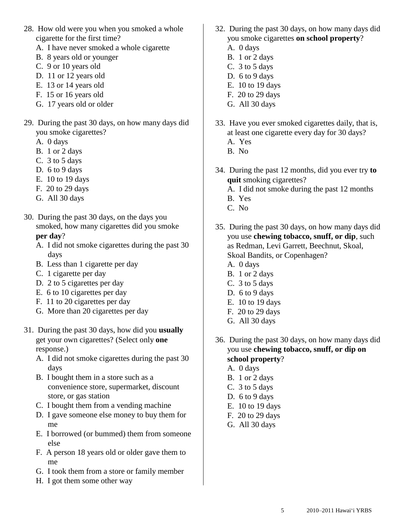- 28. How old were you when you smoked a whole cigarette for the first time?
	- A. I have never smoked a whole cigarette
	- B. 8 years old or younger
	- C. 9 or 10 years old
	- D. 11 or 12 years old
	- E. 13 or 14 years old
	- F. 15 or 16 years old
	- G. 17 years old or older
- 29. During the past 30 days, on how many days did you smoke cigarettes?
	- A. 0 days
	- B. 1 or 2 days
	- C. 3 to 5 days
	- D. 6 to 9 days
	- E. 10 to 19 days
	- F. 20 to 29 days
	- G. All 30 days
- 30. During the past 30 days, on the days you smoked, how many cigarettes did you smoke **per day**?
	- A. I did not smoke cigarettes during the past 30 days
	- B. Less than 1 cigarette per day
	- C. 1 cigarette per day
	- D. 2 to 5 cigarettes per day
	- E. 6 to 10 cigarettes per day
	- F. 11 to 20 cigarettes per day
	- G. More than 20 cigarettes per day
- 31. During the past 30 days, how did you **usually** get your own cigarettes? (Select only **one** response.)
	- A. I did not smoke cigarettes during the past 30 days
	- B. I bought them in a store such as a convenience store, supermarket, discount store, or gas station
	- C. I bought them from a vending machine
	- D. I gave someone else money to buy them for me
	- E. I borrowed (or bummed) them from someone else
	- F. A person 18 years old or older gave them to me
	- G. I took them from a store or family member
	- H. I got them some other way
- 32. During the past 30 days, on how many days did you smoke cigarettes **on school property**?
	- A. 0 days
	- B. 1 or 2 days
	- C. 3 to 5 days
	- D. 6 to 9 days
	- E. 10 to 19 days
	- F. 20 to 29 days
	- G. All 30 days
- 33. Have you ever smoked cigarettes daily, that is, at least one cigarette every day for 30 days?
	- A. Yes
	- B. No
- 34. During the past 12 months, did you ever try **to quit** smoking cigarettes?
	- A. I did not smoke during the past 12 months
	- B. Yes
	- C. No
- 35. During the past 30 days, on how many days did you use **chewing tobacco, snuff, or dip**, such as Redman, Levi Garrett, Beechnut, Skoal, Skoal Bandits, or Copenhagen?
	- A. 0 days
	- B. 1 or 2 days
	- C. 3 to 5 days
	- D. 6 to 9 days
	- E. 10 to 19 days
	- F. 20 to 29 days
	- G. All 30 days
- 36. During the past 30 days, on how many days did you use **chewing tobacco, snuff, or dip on school property**?
	- A. 0 days
	- B. 1 or 2 days
	- C. 3 to 5 days
	- D. 6 to 9 days
	- E. 10 to 19 days
	- F. 20 to 29 days
	- G. All 30 days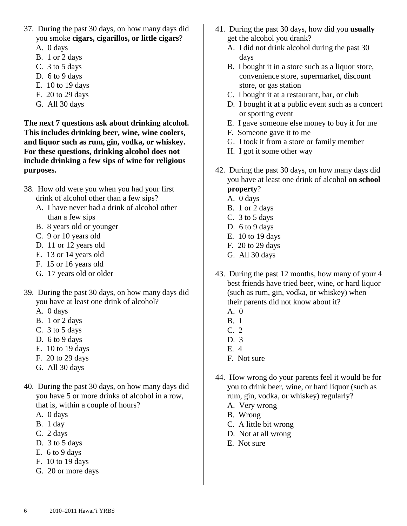- 37. During the past 30 days, on how many days did you smoke **cigars, cigarillos, or little cigars**?
	- A. 0 days
	- B. 1 or 2 days
	- C. 3 to 5 days
	- D. 6 to 9 days
	- E. 10 to 19 days
	- F. 20 to 29 days
	- G. All 30 days

**The next 7 questions ask about drinking alcohol. This includes drinking beer, wine, wine coolers, and liquor such as rum, gin, vodka, or whiskey. For these questions, drinking alcohol does not include drinking a few sips of wine for religious purposes.**

- 38. How old were you when you had your first drink of alcohol other than a few sips?
	- A. I have never had a drink of alcohol other than a few sips
	- B. 8 years old or younger
	- C. 9 or 10 years old
	- D. 11 or 12 years old
	- E. 13 or 14 years old
	- F. 15 or 16 years old
	- G. 17 years old or older
- 39. During the past 30 days, on how many days did you have at least one drink of alcohol?
	- A. 0 days
	- B. 1 or 2 days
	- C. 3 to 5 days
	- D. 6 to 9 days
	- E. 10 to 19 days
	- F. 20 to 29 days
	- G. All 30 days
- 40. During the past 30 days, on how many days did you have 5 or more drinks of alcohol in a row, that is, within a couple of hours?
	- A. 0 days
	- B. 1 day
	- C. 2 days
	- D. 3 to 5 days
	- E. 6 to 9 days
	- F. 10 to 19 days
	- G. 20 or more days
- 41. During the past 30 days, how did you **usually** get the alcohol you drank?
	- A. I did not drink alcohol during the past 30 days
	- B. I bought it in a store such as a liquor store, convenience store, supermarket, discount store, or gas station
	- C. I bought it at a restaurant, bar, or club
	- D. I bought it at a public event such as a concert or sporting event
	- E. I gave someone else money to buy it for me
	- F. Someone gave it to me
	- G. I took it from a store or family member
	- H. I got it some other way
- 42. During the past 30 days, on how many days did you have at least one drink of alcohol **on school property**?
	- A. 0 days
	- B. 1 or 2 days
	- C. 3 to 5 days
	- D. 6 to 9 days
	- E. 10 to 19 days
	- F. 20 to 29 days
	- G. All 30 days
- 43. During the past 12 months, how many of your 4 best friends have tried beer, wine, or hard liquor (such as rum, gin, vodka, or whiskey) when their parents did not know about it?
	- A. 0
	- B. 1
	- C. 2
	- D. 3
	- E. 4
	- F. Not sure
- 44. How wrong do your parents feel it would be for you to drink beer, wine, or hard liquor (such as rum, gin, vodka, or whiskey) regularly?
	- A. Very wrong
	- B. Wrong
	- C. A little bit wrong
	- D. Not at all wrong
	- E. Not sure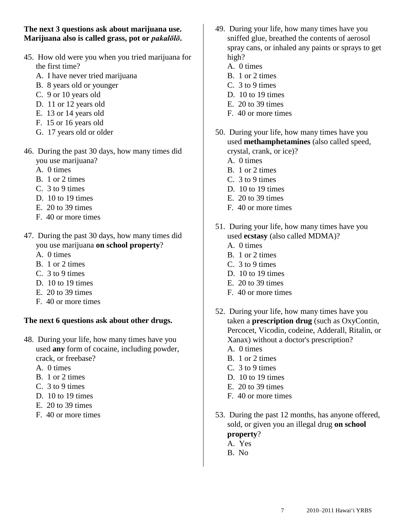**The next 3 questions ask about marijuana use. Marijuana also is called grass, pot or** *pakalōlō***.**

- 45. How old were you when you tried marijuana for the first time?
	- A. I have never tried marijuana
	- B. 8 years old or younger
	- C. 9 or 10 years old
	- D. 11 or 12 years old
	- E. 13 or 14 years old
	- F. 15 or 16 years old
	- G. 17 years old or older
- 46. During the past 30 days, how many times did you use marijuana?
	- A. 0 times
	- B. 1 or 2 times
	- C. 3 to 9 times
	- D. 10 to 19 times
	- E. 20 to 39 times
	- F. 40 or more times
- 47. During the past 30 days, how many times did you use marijuana **on school property**?
	- A. 0 times
	- B. 1 or 2 times
	- C. 3 to 9 times
	- D. 10 to 19 times
	- E. 20 to 39 times
	- F. 40 or more times

# **The next 6 questions ask about other drugs.**

- 48. During your life, how many times have you used **any** form of cocaine, including powder, crack, or freebase?
	- A. 0 times
	- B. 1 or 2 times
	- C. 3 to 9 times
	- D. 10 to 19 times
	- E. 20 to 39 times
	- F. 40 or more times
- 49. During your life, how many times have you sniffed glue, breathed the contents of aerosol spray cans, or inhaled any paints or sprays to get high?
	- A. 0 times
	- B. 1 or 2 times
	- C. 3 to 9 times
	- D. 10 to 19 times
	- E. 20 to 39 times
	- F. 40 or more times
- 50. During your life, how many times have you used **methamphetamines** (also called speed, crystal, crank, or ice)?
	- A. 0 times
	- B. 1 or 2 times
	- C. 3 to 9 times
	- D. 10 to 19 times
	- E. 20 to 39 times
	- F. 40 or more times
- 51. During your life, how many times have you used **ecstasy** (also called MDMA)?
	- A. 0 times
	- B. 1 or 2 times
	- C. 3 to 9 times
	- D. 10 to 19 times
	- E. 20 to 39 times
	- F. 40 or more times
- 52. During your life, how many times have you taken a **prescription drug** (such as OxyContin, Percocet, Vicodin, codeine, Adderall, Ritalin, or Xanax) without a doctor's prescription?
	- A. 0 times
	- B. 1 or 2 times
	- C. 3 to 9 times
	- D. 10 to 19 times
	- E. 20 to 39 times
	- F. 40 or more times
- 53. During the past 12 months, has anyone offered, sold, or given you an illegal drug **on school property**? A. Yes
	- B. No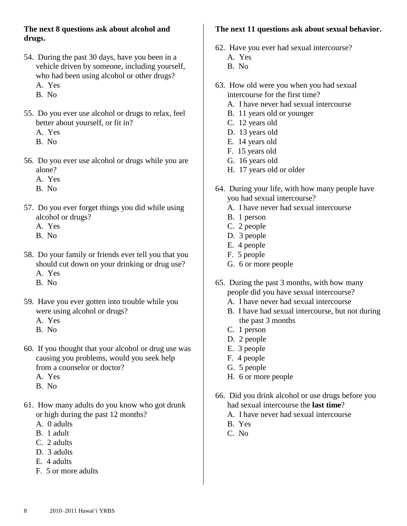### **The next 8 questions ask about alcohol and drugs.**

- 54. During the past 30 days, have you been in a vehicle driven by someone, including yourself, who had been using alcohol or other drugs? A. Yes
	- B. No
- 55. Do you ever use alcohol or drugs to relax, feel better about yourself, or fit in?
	- A. Yes
	- B. No
- 56. Do you ever use alcohol or drugs while you are alone?
	- A. Yes
	- B. No
- 57. Do you ever forget things you did while using alcohol or drugs?
	- A. Yes
	- B. No
- 58. Do your family or friends ever tell you that you should cut down on your drinking or drug use?
	- A. Yes
	- B. No
- 59. Have you ever gotten into trouble while you were using alcohol or drugs?
	- A. Yes
	- B. No
- 60. If you thought that your alcohol or drug use was causing you problems, would you seek help from a counselor or doctor?
	- A. Yes
	- B. No
- 61. How many adults do you know who got drunk or high during the past 12 months?
	- A. 0 adults
	- B. 1 adult
	- C. 2 adults
	- D. 3 adults
	- E. 4 adults
	- F. 5 or more adults

# **The next 11 questions ask about sexual behavior.**

- 62. Have you ever had sexual intercourse?
	- A. Yes
	- B. No
- 63. How old were you when you had sexual intercourse for the first time?
	- A. I have never had sexual intercourse
	- B. 11 years old or younger
	- C. 12 years old
	- D. 13 years old
	- E. 14 years old
	- F. 15 years old
	- G. 16 years old
	- H. 17 years old or older
- 64. During your life, with how many people have you had sexual intercourse?
	- A. I have never had sexual intercourse
	- B. 1 person
	- C. 2 people
	- D. 3 people
	- E. 4 people
	- F. 5 people
	- G. 6 or more people
- 65. During the past 3 months, with how many people did you have sexual intercourse?
	- A. I have never had sexual intercourse
	- B. I have had sexual intercourse, but not during the past 3 months
	- C. 1 person
	- D. 2 people
	- E. 3 people
	- F. 4 people
	- G. 5 people
	- H. 6 or more people
- 66. Did you drink alcohol or use drugs before you had sexual intercourse the **last time**?
	- A. I have never had sexual intercourse
	- B. Yes
	- C. No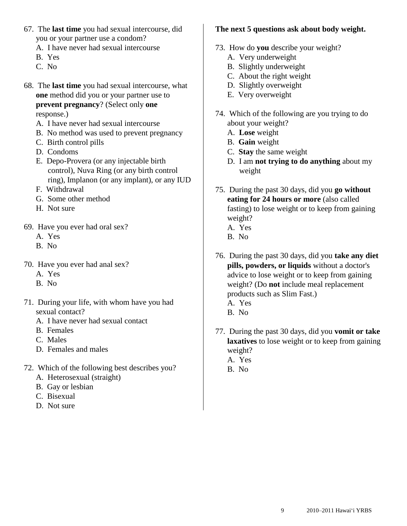- 67. The **last time** you had sexual intercourse, did you or your partner use a condom?
	- A. I have never had sexual intercourse
	- B. Yes
	- C. No
- 68. The **last time** you had sexual intercourse, what **one** method did you or your partner use to **prevent pregnancy**? (Select only **one**  response.)
	- A. I have never had sexual intercourse
	- B. No method was used to prevent pregnancy
	- C. Birth control pills
	- D. Condoms
	- E. Depo-Provera (or any injectable birth control), Nuva Ring (or any birth control ring), Implanon (or any implant), or any IUD
	- F. Withdrawal
	- G. Some other method
	- H. Not sure
- 69. Have you ever had oral sex?
	- A. Yes
	- B. No
- 70. Have you ever had anal sex?
	- A. Yes
	- B. No
- 71. During your life, with whom have you had sexual contact?
	- A. I have never had sexual contact
	- B. Females
	- C. Males
	- D. Females and males
- 72. Which of the following best describes you?
	- A. Heterosexual (straight)
	- B. Gay or lesbian
	- C. Bisexual
	- D. Not sure

#### **The next 5 questions ask about body weight.**

- 73. How do **you** describe your weight?
	- A. Very underweight
	- B. Slightly underweight
	- C. About the right weight
	- D. Slightly overweight
	- E. Very overweight
- 74. Which of the following are you trying to do about your weight?
	- A. **Lose** weight
	- B. **Gain** weight
	- C. **Stay** the same weight
	- D. I am **not trying to do anything** about my weight
- 75. During the past 30 days, did you **go without eating for 24 hours or more** (also called fasting) to lose weight or to keep from gaining weight?
	- A. Yes
	- B. No
- 76. During the past 30 days, did you **take any diet pills, powders, or liquids** without a doctor's advice to lose weight or to keep from gaining weight? (Do **not** include meal replacement products such as Slim Fast.) A. Yes
	- B. No
- 77. During the past 30 days, did you **vomit or take laxatives** to lose weight or to keep from gaining weight? A. Yes
	- B. No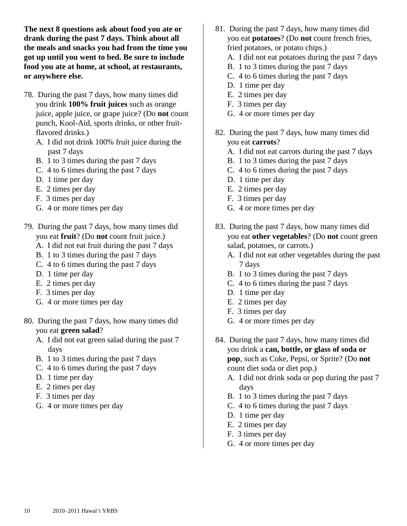**The next 8 questions ask about food you ate or drank during the past 7 days. Think about all the meals and snacks you had from the time you got up until you went to bed. Be sure to include food you ate at home, at school, at restaurants, or anywhere else.**

- 78. During the past 7 days, how many times did you drink **100% fruit juices** such as orange juice, apple juice, or grape juice? (Do **not** count punch, Kool-Aid, sports drinks, or other fruitflavored drinks.)
	- A. I did not drink 100% fruit juice during the past 7 days
	- B. 1 to 3 times during the past 7 days
	- C. 4 to 6 times during the past 7 days
	- D. 1 time per day
	- E. 2 times per day
	- F. 3 times per day
	- G. 4 or more times per day
- 79. During the past 7 days, how many times did you eat **fruit**? (Do **not** count fruit juice.)
	- A. I did not eat fruit during the past 7 days
	- B. 1 to 3 times during the past 7 days
	- C. 4 to 6 times during the past 7 days
	- D. 1 time per day
	- E. 2 times per day
	- F. 3 times per day
	- G. 4 or more times per day
- 80. During the past 7 days, how many times did you eat **green salad**?
	- A. I did not eat green salad during the past 7 days
	- B. 1 to 3 times during the past 7 days
	- C. 4 to 6 times during the past 7 days
	- D. 1 time per day
	- E. 2 times per day
	- F. 3 times per day
	- G. 4 or more times per day
- 81. During the past 7 days, how many times did you eat **potatoes**? (Do **not** count french fries, fried potatoes, or potato chips.) A. I did not eat potatoes during the past 7 days
	- B. 1 to 3 times during the past 7 days
	- C. 4 to 6 times during the past 7 days
	- D. 1 time per day
	- E. 2 times per day
	- F. 3 times per day
	- G. 4 or more times per day
- 82. During the past 7 days, how many times did you eat **carrots**?
	- A. I did not eat carrots during the past 7 days
	- B. 1 to 3 times during the past 7 days
	- C. 4 to 6 times during the past 7 days
	- D. 1 time per day
	- E. 2 times per day
	- F. 3 times per day
	- G. 4 or more times per day
- 83. During the past 7 days, how many times did you eat **other vegetables**? (Do **not** count green salad, potatoes, or carrots.)
	- A. I did not eat other vegetables during the past 7 days
	- B. 1 to 3 times during the past 7 days
	- C. 4 to 6 times during the past 7 days
	- D. 1 time per day
	- E. 2 times per day
	- F. 3 times per day
	- G. 4 or more times per day
- 84. During the past 7 days, how many times did you drink a **can, bottle, or glass of soda or pop**, such as Coke, Pepsi, or Sprite? (Do **not** count diet soda or diet pop.)
	- A. I did not drink soda or pop during the past 7 days
	- B. 1 to 3 times during the past 7 days
	- C. 4 to 6 times during the past 7 days
	- D. 1 time per day
	- E. 2 times per day
	- F. 3 times per day
	- G. 4 or more times per day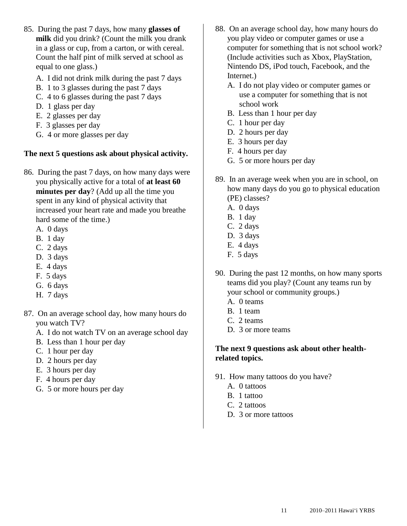- 85. During the past 7 days, how many **glasses of milk** did you drink? (Count the milk you drank in a glass or cup, from a carton, or with cereal. Count the half pint of milk served at school as equal to one glass.)
	- A. I did not drink milk during the past 7 days
	- B. 1 to 3 glasses during the past 7 days
	- C. 4 to 6 glasses during the past 7 days
	- D. 1 glass per day
	- E. 2 glasses per day
	- F. 3 glasses per day
	- G. 4 or more glasses per day

# **The next 5 questions ask about physical activity.**

- 86. During the past 7 days, on how many days were you physically active for a total of **at least 60 minutes per day**? (Add up all the time you spent in any kind of physical activity that increased your heart rate and made you breathe hard some of the time.)
	- A. 0 days
	- B. 1 day
	- C. 2 days
	- D. 3 days
	- E. 4 days
	- F. 5 days
	- G. 6 days
	- H. 7 days
- 87. On an average school day, how many hours do you watch TV?
	- A. I do not watch TV on an average school day
	- B. Less than 1 hour per day
	- C. 1 hour per day
	- D. 2 hours per day
	- E. 3 hours per day
	- F. 4 hours per day
	- G. 5 or more hours per day
- 88. On an average school day, how many hours do you play video or computer games or use a computer for something that is not school work? (Include activities such as Xbox, PlayStation, Nintendo DS, iPod touch, Facebook, and the Internet.)
	- A. I do not play video or computer games or use a computer for something that is not school work
	- B. Less than 1 hour per day
	- C. 1 hour per day
	- D. 2 hours per day
	- E. 3 hours per day
	- F. 4 hours per day
	- G. 5 or more hours per day
- 89. In an average week when you are in school, on how many days do you go to physical education (PE) classes?
	- A. 0 days
	- B. 1 day
	- C. 2 days
	- D. 3 days
	- E. 4 days
	- F. 5 days
- 90. During the past 12 months, on how many sports teams did you play? (Count any teams run by your school or community groups.)
	- A. 0 teams
	- B. 1 team
	- C. 2 teams
	- D. 3 or more teams

### **The next 9 questions ask about other healthrelated topics.**

- 91. How many tattoos do you have?
	- A. 0 tattoos
	- B. 1 tattoo
	- C. 2 tattoos
	- D. 3 or more tattoos